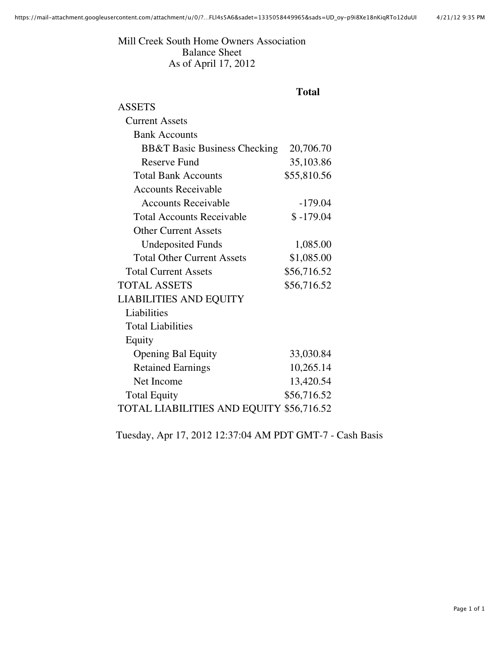Mill Creek South Home Owners Association Balance Sheet As of April 17, 2012

## **Total**

| <b>ASSETS</b>                            |             |
|------------------------------------------|-------------|
| <b>Current Assets</b>                    |             |
| <b>Bank Accounts</b>                     |             |
| <b>BB&amp;T Basic Business Checking</b>  | 20,706.70   |
| <b>Reserve Fund</b>                      | 35,103.86   |
| <b>Total Bank Accounts</b>               | \$55,810.56 |
| <b>Accounts Receivable</b>               |             |
| <b>Accounts Receivable</b>               | $-179.04$   |
| <b>Total Accounts Receivable</b>         | $$-179.04$  |
| <b>Other Current Assets</b>              |             |
| <b>Undeposited Funds</b>                 | 1,085.00    |
| <b>Total Other Current Assets</b>        | \$1,085.00  |
| <b>Total Current Assets</b>              | \$56,716.52 |
| <b>TOTAL ASSETS</b>                      | \$56,716.52 |
| <b>LIABILITIES AND EQUITY</b>            |             |
| Liabilities                              |             |
| <b>Total Liabilities</b>                 |             |
| Equity                                   |             |
| <b>Opening Bal Equity</b>                | 33,030.84   |
| <b>Retained Earnings</b>                 | 10,265.14   |
| Net Income                               | 13,420.54   |
| <b>Total Equity</b>                      | \$56,716.52 |
| TOTAL LIABILITIES AND EQUITY \$56,716.52 |             |
|                                          |             |

Tuesday, Apr 17, 2012 12:37:04 AM PDT GMT-7 - Cash Basis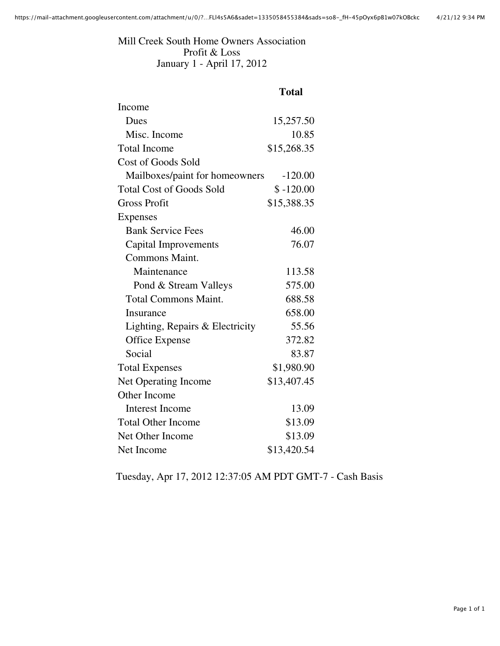Mill Creek South Home Owners Association Profit & Loss January 1 - April 17, 2012

## **Total**

| Income                          |             |
|---------------------------------|-------------|
| Dues                            | 15,257.50   |
| Misc. Income                    | 10.85       |
| <b>Total Income</b>             | \$15,268.35 |
| <b>Cost of Goods Sold</b>       |             |
| Mailboxes/paint for homeowners  | $-120.00$   |
| <b>Total Cost of Goods Sold</b> | $$ -120.00$ |
| <b>Gross Profit</b>             | \$15,388.35 |
| <b>Expenses</b>                 |             |
| <b>Bank Service Fees</b>        | 46.00       |
| <b>Capital Improvements</b>     | 76.07       |
| <b>Commons Maint.</b>           |             |
| Maintenance                     | 113.58      |
| Pond & Stream Valleys           | 575.00      |
| <b>Total Commons Maint.</b>     | 688.58      |
| <b>Insurance</b>                | 658.00      |
| Lighting, Repairs & Electricity | 55.56       |
| Office Expense                  | 372.82      |
| Social                          | 83.87       |
| <b>Total Expenses</b>           | \$1,980.90  |
| <b>Net Operating Income</b>     | \$13,407.45 |
| Other Income                    |             |
| <b>Interest Income</b>          | 13.09       |
| <b>Total Other Income</b>       | \$13.09     |
| Net Other Income                | \$13.09     |
| Net Income                      | \$13,420.54 |

Tuesday, Apr 17, 2012 12:37:05 AM PDT GMT-7 - Cash Basis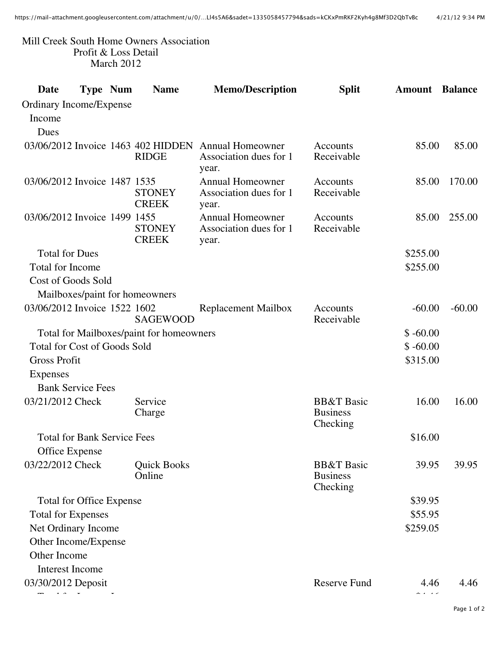## Mill Creek South Home Owners Association Profit & Loss Detail March 2012

| Date                                | <b>Type Num</b> | <b>Name</b>                                        | <b>Memo/Description</b>                                    | <b>Split</b>                                         | <b>Amount</b> | <b>Balance</b> |
|-------------------------------------|-----------------|----------------------------------------------------|------------------------------------------------------------|------------------------------------------------------|---------------|----------------|
| Ordinary Income/Expense             |                 |                                                    |                                                            |                                                      |               |                |
| Income                              |                 |                                                    |                                                            |                                                      |               |                |
| Dues                                |                 |                                                    |                                                            |                                                      |               |                |
|                                     |                 | 03/06/2012 Invoice 1463 402 HIDDEN<br><b>RIDGE</b> | <b>Annual Homeowner</b><br>Association dues for 1<br>year. | Accounts<br>Receivable                               | 85.00         | 85.00          |
| 03/06/2012 Invoice 1487 1535        |                 | <b>STONEY</b><br><b>CREEK</b>                      | <b>Annual Homeowner</b><br>Association dues for 1<br>year. | Accounts<br>Receivable                               | 85.00         | 170.00         |
| 03/06/2012 Invoice 1499 1455        |                 | <b>STONEY</b><br><b>CREEK</b>                      | <b>Annual Homeowner</b><br>Association dues for 1<br>year. | Accounts<br>Receivable                               | 85.00         | 255.00         |
| <b>Total for Dues</b>               |                 |                                                    |                                                            |                                                      | \$255.00      |                |
| <b>Total for Income</b>             |                 |                                                    |                                                            |                                                      | \$255.00      |                |
| <b>Cost of Goods Sold</b>           |                 |                                                    |                                                            |                                                      |               |                |
|                                     |                 | Mailboxes/paint for homeowners                     |                                                            |                                                      |               |                |
| 03/06/2012 Invoice 1522 1602        |                 | <b>SAGEWOOD</b>                                    | <b>Replacement Mailbox</b>                                 | Accounts<br>Receivable                               | $-60.00$      | $-60.00$       |
|                                     |                 | Total for Mailboxes/paint for homeowners           |                                                            |                                                      | $$ -60.00$    |                |
| <b>Total for Cost of Goods Sold</b> |                 |                                                    |                                                            |                                                      | $$ -60.00$    |                |
| <b>Gross Profit</b>                 |                 |                                                    |                                                            |                                                      | \$315.00      |                |
| <b>Expenses</b>                     |                 |                                                    |                                                            |                                                      |               |                |
| <b>Bank Service Fees</b>            |                 |                                                    |                                                            |                                                      |               |                |
| 03/21/2012 Check                    |                 | Service<br>Charge                                  |                                                            | <b>BB&amp;T</b> Basic<br><b>Business</b><br>Checking | 16.00         | 16.00          |
| <b>Total for Bank Service Fees</b>  |                 |                                                    |                                                            |                                                      | \$16.00       |                |
| <b>Office Expense</b>               |                 |                                                    |                                                            |                                                      |               |                |
| 03/22/2012 Check                    |                 | <b>Quick Books</b><br>Online                       |                                                            | <b>BB&amp;T</b> Basic<br><b>Business</b><br>Checking | 39.95         | 39.95          |
| <b>Total for Office Expense</b>     |                 |                                                    |                                                            |                                                      | \$39.95       |                |
| <b>Total for Expenses</b>           |                 |                                                    |                                                            |                                                      | \$55.95       |                |
| Net Ordinary Income                 |                 |                                                    |                                                            |                                                      | \$259.05      |                |
| Other Income/Expense                |                 |                                                    |                                                            |                                                      |               |                |
| Other Income                        |                 |                                                    |                                                            |                                                      |               |                |
| <b>Interest Income</b>              |                 |                                                    |                                                            |                                                      |               |                |
| 03/30/2012 Deposit                  |                 |                                                    |                                                            | <b>Reserve Fund</b>                                  | 4.46<br>د د م | 4.46           |

Page 1 of 2